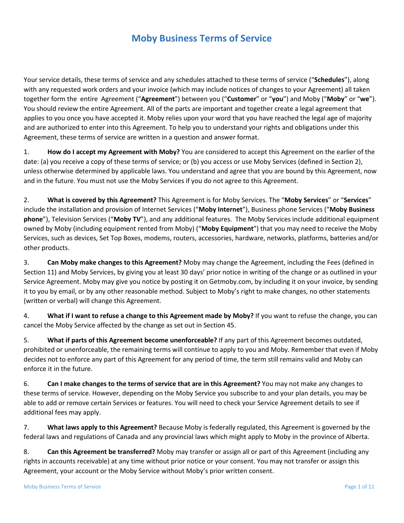# **Moby Business Terms of Service**

Your service details, these terms of service and any schedules attached to these terms of service ("**Schedules**"), along with any requested work orders and your invoice (which may include notices of changes to your Agreement) all taken together form the entire Agreement ("**Agreement**") between you ("**Customer**" or "**you**") and Moby ("**Moby**" or "**we**"). You should review the entire Agreement. All of the parts are important and together create a legal agreement that applies to you once you have accepted it. Moby relies upon your word that you have reached the legal age of majority and are authorized to enter into this Agreement. To help you to understand your rights and obligations under this Agreement, these terms of service are written in a question and answer format.

1. **How do I accept my Agreement with Moby?** You are considered to accept this Agreement on the earlier of the date: (a) you receive a copy of these terms of service; or (b) you access or use Moby Services (defined in Section 2), unless otherwise determined by applicable laws. You understand and agree that you are bound by this Agreement, now and in the future. You must not use the Moby Services if you do not agree to this Agreement.

2. **What is covered by this Agreement?** This Agreement is for Moby Services. The "**Moby Services**" or "**Services**" include the installation and provision of Internet Services ("**Moby Internet**"), Business phone Services ("**Moby Business phone**"), Television Services ("**Moby TV**"), and any additional features. The Moby Services include additional equipment owned by Moby (including equipment rented from Moby) ("**Moby Equipment**") that you may need to receive the Moby Services, such as devices, Set Top Boxes, modems, routers, accessories, hardware, networks, platforms, batteries and/or other products.

3. **Can Moby make changes to this Agreement?** Moby may change the Agreement, including the Fees (defined in Section 11) and Moby Services, by giving you at least 30 days' prior notice in writing of the change or as outlined in your Service Agreement. Moby may give you notice by posting it on Getmoby.com, by including it on your invoice, by sending it to you by email, or by any other reasonable method. Subject to Moby's right to make changes, no other statements (written or verbal) will change this Agreement.

4. **What if I want to refuse a change to this Agreement made by Moby?** If you want to refuse the change, you can cancel the Moby Service affected by the change as set out in Section 45.

5. **What if parts of this Agreement become unenforceable?** If any part of this Agreement becomes outdated, prohibited or unenforceable, the remaining terms will continue to apply to you and Moby. Remember that even if Moby decides not to enforce any part of this Agreement for any period of time, the term still remains valid and Moby can enforce it in the future.

6. **Can I make changes to the terms of service that are in this Agreement?** You may not make any changes to these terms of service. However, depending on the Moby Service you subscribe to and your plan details, you may be able to add or remove certain Services or features. You will need to check your Service Agreement details to see if additional fees may apply.

7. **What laws apply to this Agreement?** Because Moby is federally regulated, this Agreement is governed by the federal laws and regulations of Canada and any provincial laws which might apply to Moby in the province of Alberta.

8. **Can this Agreement be transferred?** Moby may transfer or assign all or part of this Agreement (including any rights in accounts receivable) at any time without prior notice or your consent. You may not transfer or assign this Agreement, your account or the Moby Service without Moby's prior written consent.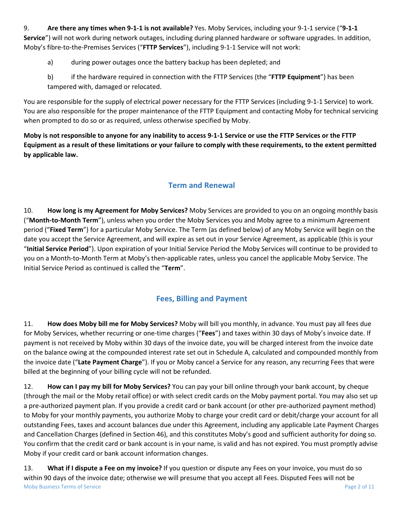9. **Are there any times when 9-1-1 is not available?** Yes. Moby Services, including your 9-1-1 service ("**9-1-1 Service**") will not work during network outages, including during planned hardware or software upgrades. In addition, Moby's fibre-to-the-Premises Services ("**FTTP Services**"), including 9-1-1 Service will not work:

a) during power outages once the battery backup has been depleted; and

b) if the hardware required in connection with the FTTP Services (the "**FTTP Equipment**") has been tampered with, damaged or relocated.

You are responsible for the supply of electrical power necessary for the FTTP Services (including 9-1-1 Service) to work. You are also responsible for the proper maintenance of the FTTP Equipment and contacting Moby for technical servicing when prompted to do so or as required, unless otherwise specified by Moby.

**Moby is not responsible to anyone for any inability to access 9-1-1 Service or use the FTTP Services or the FTTP Equipment as a result of these limitations or your failure to comply with these requirements, to the extent permitted by applicable law.**

## **Term and Renewal**

10. **How long is my Agreement for Moby Services?** Moby Services are provided to you on an ongoing monthly basis ("**Month-to-Month Term**"), unless when you order the Moby Services you and Moby agree to a minimum Agreement period ("**Fixed Term**") for a particular Moby Service. The Term (as defined below) of any Moby Service will begin on the date you accept the Service Agreement, and will expire as set out in your Service Agreement, as applicable (this is your "**Initial Service Period**"). Upon expiration of your Initial Service Period the Moby Services will continue to be provided to you on a Month-to-Month Term at Moby's then-applicable rates, unless you cancel the applicable Moby Service. The Initial Service Period as continued is called the "**Term**".

## **Fees, Billing and Payment**

11. **How does Moby bill me for Moby Services?** Moby will bill you monthly, in advance. You must pay all fees due for Moby Services, whether recurring or one-time charges ("**Fees**") and taxes within 30 days of Moby's invoice date. If payment is not received by Moby within 30 days of the invoice date, you will be charged interest from the invoice date on the balance owing at the compounded interest rate set out in Schedule A, calculated and compounded monthly from the invoice date ("**Late Payment Charge**"). If you or Moby cancel a Service for any reason, any recurring Fees that were billed at the beginning of your billing cycle will not be refunded.

12. **How can I pay my bill for Moby Services?** You can pay your bill online through your bank account, by cheque (through the mail or the Moby retail office) or with select credit cards on the Moby payment portal. You may also set up a pre-authorized payment plan. If you provide a credit card or bank account (or other pre-authorized payment method) to Moby for your monthly payments, you authorize Moby to charge your credit card or debit/charge your account for all outstanding Fees, taxes and account balances due under this Agreement, including any applicable Late Payment Charges and Cancellation Charges (defined in Section 46), and this constitutes Moby's good and sufficient authority for doing so. You confirm that the credit card or bank account is in your name, is valid and has not expired. You must promptly advise Moby if your credit card or bank account information changes.

Moby Business Terms of Service **Page 2 of 11** Noby Business Terms of Service Page 2 of 11 13. **What if I dispute a Fee on my invoice?** If you question or dispute any Fees on your invoice, you must do so within 90 days of the invoice date; otherwise we will presume that you accept all Fees. Disputed Fees will not be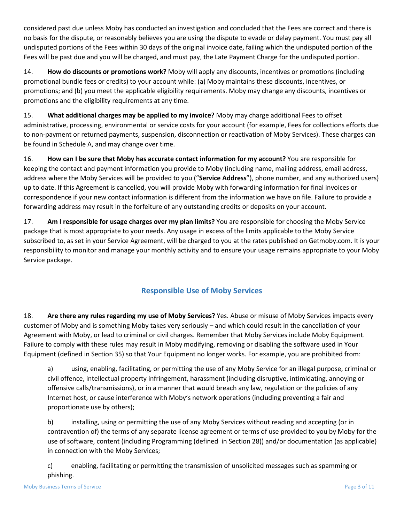considered past due unless Moby has conducted an investigation and concluded that the Fees are correct and there is no basis for the dispute, or reasonably believes you are using the dispute to evade or delay payment. You must pay all undisputed portions of the Fees within 30 days of the original invoice date, failing which the undisputed portion of the Fees will be past due and you will be charged, and must pay, the Late Payment Charge for the undisputed portion.

14. **How do discounts or promotions work?** Moby will apply any discounts, incentives or promotions (including promotional bundle fees or credits) to your account while: (a) Moby maintains these discounts, incentives, or promotions; and (b) you meet the applicable eligibility requirements. Moby may change any discounts, incentives or promotions and the eligibility requirements at any time.

15. **What additional charges may be applied to my invoice?** Moby may charge additional Fees to offset administrative, processing, environmental or service costs for your account (for example, Fees for collections efforts due to non-payment or returned payments, suspension, disconnection or reactivation of Moby Services). These charges can be found in Schedule A, and may change over time.

16. **How can I be sure that Moby has accurate contact information for my account?** You are responsible for keeping the contact and payment information you provide to Moby (including name, mailing address, email address, address where the Moby Services will be provided to you ("**Service Address**"), phone number, and any authorized users) up to date. If this Agreement is cancelled, you will provide Moby with forwarding information for final invoices or correspondence if your new contact information is different from the information we have on file. Failure to provide a forwarding address may result in the forfeiture of any outstanding credits or deposits on your account.

17. **Am I responsible for usage charges over my plan limits?** You are responsible for choosing the Moby Service package that is most appropriate to your needs. Any usage in excess of the limits applicable to the Moby Service subscribed to, as set in your Service Agreement, will be charged to you at the rates published on Getmoby.com. It is your responsibility to monitor and manage your monthly activity and to ensure your usage remains appropriate to your Moby Service package.

## **Responsible Use of Moby Services**

18. **Are there any rules regarding my use of Moby Services?** Yes. Abuse or misuse of Moby Services impacts every customer of Moby and is something Moby takes very seriously – and which could result in the cancellation of your Agreement with Moby, or lead to criminal or civil charges. Remember that Moby Services include Moby Equipment. Failure to comply with these rules may result in Moby modifying, removing or disabling the software used in Your Equipment (defined in Section 35) so that Your Equipment no longer works. For example, you are prohibited from:

a) using, enabling, facilitating, or permitting the use of any Moby Service for an illegal purpose, criminal or civil offence, intellectual property infringement, harassment (including disruptive, intimidating, annoying or offensive calls/transmissions), or in a manner that would breach any law, regulation or the policies of any Internet host, or cause interference with Moby's network operations (including preventing a fair and proportionate use by others);

b) installing, using or permitting the use of any Moby Services without reading and accepting (or in contravention of) the terms of any separate license agreement or terms of use provided to you by Moby for the use of software, content (including Programming (defined in Section 28)) and/or documentation (as applicable) in connection with the Moby Services;

c) enabling, facilitating or permitting the transmission of unsolicited messages such as spamming or phishing.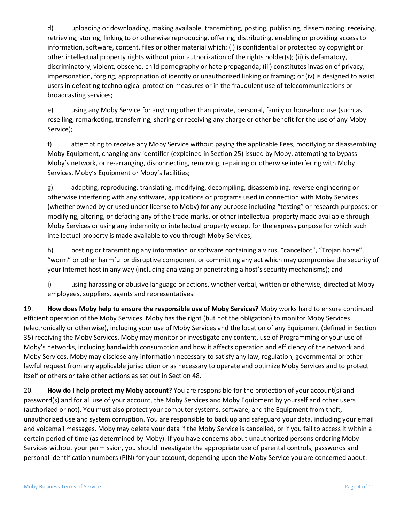d) uploading or downloading, making available, transmitting, posting, publishing, disseminating, receiving, retrieving, storing, linking to or otherwise reproducing, offering, distributing, enabling or providing access to information, software, content, files or other material which: (i) is confidential or protected by copyright or other intellectual property rights without prior authorization of the rights holder(s); (ii) is defamatory, discriminatory, violent, obscene, child pornography or hate propaganda; (iii) constitutes invasion of privacy, impersonation, forging, appropriation of identity or unauthorized linking or framing; or (iv) is designed to assist users in defeating technological protection measures or in the fraudulent use of telecommunications or broadcasting services;

e) using any Moby Service for anything other than private, personal, family or household use (such as reselling, remarketing, transferring, sharing or receiving any charge or other benefit for the use of any Moby Service);

f) attempting to receive any Moby Service without paying the applicable Fees, modifying or disassembling Moby Equipment, changing any identifier (explained in Section 25) issued by Moby, attempting to bypass Moby's network, or re-arranging, disconnecting, removing, repairing or otherwise interfering with Moby Services, Moby's Equipment or Moby's facilities;

g) adapting, reproducing, translating, modifying, decompiling, disassembling, reverse engineering or otherwise interfering with any software, applications or programs used in connection with Moby Services (whether owned by or used under license to Moby) for any purpose including "testing" or research purposes; or modifying, altering, or defacing any of the trade-marks, or other intellectual property made available through Moby Services or using any indemnity or intellectual property except for the express purpose for which such intellectual property is made available to you through Moby Services;

h) posting or transmitting any information or software containing a virus, "cancelbot", "Trojan horse", "worm" or other harmful or disruptive component or committing any act which may compromise the security of your Internet host in any way (including analyzing or penetrating a host's security mechanisms); and

i) using harassing or abusive language or actions, whether verbal, written or otherwise, directed at Moby employees, suppliers, agents and representatives.

19. **How does Moby help to ensure the responsible use of Moby Services?** Moby works hard to ensure continued efficient operation of the Moby Services. Moby has the right (but not the obligation) to monitor Moby Services (electronically or otherwise), including your use of Moby Services and the location of any Equipment (defined in Section 35) receiving the Moby Services. Moby may monitor or investigate any content, use of Programming or your use of Moby's networks, including bandwidth consumption and how it affects operation and efficiency of the network and Moby Services. Moby may disclose any information necessary to satisfy any law, regulation, governmental or other lawful request from any applicable jurisdiction or as necessary to operate and optimize Moby Services and to protect itself or others or take other actions as set out in Section 48.

20. **How do I help protect my Moby account?** You are responsible for the protection of your account(s) and password(s) and for all use of your account, the Moby Services and Moby Equipment by yourself and other users (authorized or not). You must also protect your computer systems, software, and the Equipment from theft, unauthorized use and system corruption. You are responsible to back up and safeguard your data, including your email and voicemail messages. Moby may delete your data if the Moby Service is cancelled, or if you fail to access it within a certain period of time (as determined by Moby). If you have concerns about unauthorized persons ordering Moby Services without your permission, you should investigate the appropriate use of parental controls, passwords and personal identification numbers (PIN) for your account, depending upon the Moby Service you are concerned about.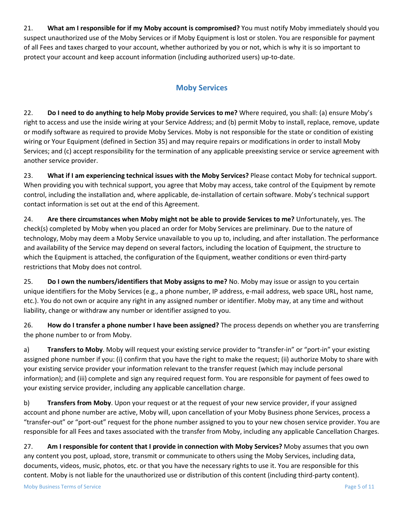21. **What am I responsible for if my Moby account is compromised?** You must notify Moby immediately should you suspect unauthorized use of the Moby Services or if Moby Equipment is lost or stolen. You are responsible for payment of all Fees and taxes charged to your account, whether authorized by you or not, which is why it is so important to protect your account and keep account information (including authorized users) up-to-date.

### **Moby Services**

22. **Do I need to do anything to help Moby provide Services to me?** Where required, you shall: (a) ensure Moby's right to access and use the inside wiring at your Service Address; and (b) permit Moby to install, replace, remove, update or modify software as required to provide Moby Services. Moby is not responsible for the state or condition of existing wiring or Your Equipment (defined in Section 35) and may require repairs or modifications in order to install Moby Services; and (c) accept responsibility for the termination of any applicable preexisting service or service agreement with another service provider.

23. **What if I am experiencing technical issues with the Moby Services?** Please contact Moby for technical support. When providing you with technical support, you agree that Moby may access, take control of the Equipment by remote control, including the installation and, where applicable, de-installation of certain software. Moby's technical support contact information is set out at the end of this Agreement.

24. **Are there circumstances when Moby might not be able to provide Services to me?** Unfortunately, yes. The check(s) completed by Moby when you placed an order for Moby Services are preliminary. Due to the nature of technology, Moby may deem a Moby Service unavailable to you up to, including, and after installation. The performance and availability of the Service may depend on several factors, including the location of Equipment, the structure to which the Equipment is attached, the configuration of the Equipment, weather conditions or even third-party restrictions that Moby does not control.

25. **Do I own the numbers/identifiers that Moby assigns to me?** No. Moby may issue or assign to you certain unique identifiers for the Moby Services (e.g., a phone number, IP address, e-mail address, web space URL, host name, etc.). You do not own or acquire any right in any assigned number or identifier. Moby may, at any time and without liability, change or withdraw any number or identifier assigned to you.

26. **How do I transfer a phone number I have been assigned?** The process depends on whether you are transferring the phone number to or from Moby.

a) **Transfers to Moby**. Moby will request your existing service provider to "transfer-in" or "port-in" your existing assigned phone number if you: (i) confirm that you have the right to make the request; (ii) authorize Moby to share with your existing service provider your information relevant to the transfer request (which may include personal information); and (iii) complete and sign any required request form. You are responsible for payment of fees owed to your existing service provider, including any applicable cancellation charge.

b) **Transfers from Moby**. Upon your request or at the request of your new service provider, if your assigned account and phone number are active, Moby will, upon cancellation of your Moby Business phone Services, process a "transfer-out" or "port-out" request for the phone number assigned to you to your new chosen service provider. You are responsible for all Fees and taxes associated with the transfer from Moby, including any applicable Cancellation Charges.

27. **Am I responsible for content that I provide in connection with Moby Services?** Moby assumes that you own any content you post, upload, store, transmit or communicate to others using the Moby Services, including data, documents, videos, music, photos, etc. or that you have the necessary rights to use it. You are responsible for this content. Moby is not liable for the unauthorized use or distribution of this content (including third-party content).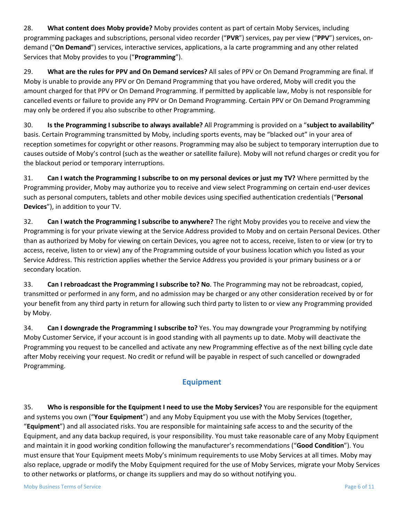28. **What content does Moby provide?** Moby provides content as part of certain Moby Services, including programming packages and subscriptions, personal video recorder ("**PVR**") services, pay per view ("**PPV**") services, ondemand ("**On Demand**") services, interactive services, applications, a la carte programming and any other related Services that Moby provides to you ("**Programming**").

29. **What are the rules for PPV and On Demand services?** All sales of PPV or On Demand Programming are final. If Moby is unable to provide any PPV or On Demand Programming that you have ordered, Moby will credit you the amount charged for that PPV or On Demand Programming. If permitted by applicable law, Moby is not responsible for cancelled events or failure to provide any PPV or On Demand Programming. Certain PPV or On Demand Programming may only be ordered if you also subscribe to other Programming.

30. **Is the Programming I subscribe to always available?** All Programming is provided on a "**subject to availability"** basis. Certain Programming transmitted by Moby, including sports events, may be "blacked out" in your area of reception sometimes for copyright or other reasons. Programming may also be subject to temporary interruption due to causes outside of Moby's control (such as the weather or satellite failure). Moby will not refund charges or credit you for the blackout period or temporary interruptions.

31. **Can I watch the Programming I subscribe to on my personal devices or just my TV?** Where permitted by the Programming provider, Moby may authorize you to receive and view select Programming on certain end-user devices such as personal computers, tablets and other mobile devices using specified authentication credentials ("**Personal Devices**"), in addition to your TV.

32. **Can I watch the Programming I subscribe to anywhere?** The right Moby provides you to receive and view the Programming is for your private viewing at the Service Address provided to Moby and on certain Personal Devices. Other than as authorized by Moby for viewing on certain Devices, you agree not to access, receive, listen to or view (or try to access, receive, listen to or view) any of the Programming outside of your business location which you listed as your Service Address. This restriction applies whether the Service Address you provided is your primary business or a or secondary location.

33. **Can I rebroadcast the Programming I subscribe to? No**. The Programming may not be rebroadcast, copied, transmitted or performed in any form, and no admission may be charged or any other consideration received by or for your benefit from any third party in return for allowing such third party to listen to or view any Programming provided by Moby.

34. **Can I downgrade the Programming I subscribe to?** Yes. You may downgrade your Programming by notifying Moby Customer Service, if your account is in good standing with all payments up to date. Moby will deactivate the Programming you request to be cancelled and activate any new Programming effective as of the next billing cycle date after Moby receiving your request. No credit or refund will be payable in respect of such cancelled or downgraded Programming.

## **Equipment**

35. **Who is responsible for the Equipment I need to use the Moby Services?** You are responsible for the equipment and systems you own ("**Your Equipment**") and any Moby Equipment you use with the Moby Services (together, "**Equipment**") and all associated risks. You are responsible for maintaining safe access to and the security of the Equipment, and any data backup required, is your responsibility. You must take reasonable care of any Moby Equipment and maintain it in good working condition following the manufacturer's recommendations ("**Good Condition**"). You must ensure that Your Equipment meets Moby's minimum requirements to use Moby Services at all times. Moby may also replace, upgrade or modify the Moby Equipment required for the use of Moby Services, migrate your Moby Services to other networks or platforms, or change its suppliers and may do so without notifying you.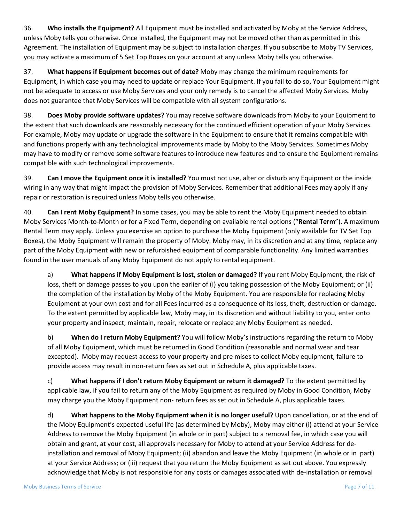36. **Who installs the Equipment?** All Equipment must be installed and activated by Moby at the Service Address, unless Moby tells you otherwise. Once installed, the Equipment may not be moved other than as permitted in this Agreement. The installation of Equipment may be subject to installation charges. If you subscribe to Moby TV Services, you may activate a maximum of 5 Set Top Boxes on your account at any unless Moby tells you otherwise.

37. **What happens if Equipment becomes out of date?** Moby may change the minimum requirements for Equipment, in which case you may need to update or replace Your Equipment. If you fail to do so, Your Equipment might not be adequate to access or use Moby Services and your only remedy is to cancel the affected Moby Services. Moby does not guarantee that Moby Services will be compatible with all system configurations.

38. **Does Moby provide software updates?** You may receive software downloads from Moby to your Equipment to the extent that such downloads are reasonably necessary for the continued efficient operation of your Moby Services. For example, Moby may update or upgrade the software in the Equipment to ensure that it remains compatible with and functions properly with any technological improvements made by Moby to the Moby Services. Sometimes Moby may have to modify or remove some software features to introduce new features and to ensure the Equipment remains compatible with such technological improvements.

39. **Can I move the Equipment once it is installed?** You must not use, alter or disturb any Equipment or the inside wiring in any way that might impact the provision of Moby Services. Remember that additional Fees may apply if any repair or restoration is required unless Moby tells you otherwise.

40. **Can I rent Moby Equipment?** In some cases, you may be able to rent the Moby Equipment needed to obtain Moby Services Month-to-Month or for a Fixed Term, depending on available rental options ("**Rental Term**"). A maximum Rental Term may apply. Unless you exercise an option to purchase the Moby Equipment (only available for TV Set Top Boxes), the Moby Equipment will remain the property of Moby. Moby may, in its discretion and at any time, replace any part of the Moby Equipment with new or refurbished equipment of comparable functionality. Any limited warranties found in the user manuals of any Moby Equipment do not apply to rental equipment.

a) **What happens if Moby Equipment is lost, stolen or damaged?** If you rent Moby Equipment, the risk of loss, theft or damage passes to you upon the earlier of (i) you taking possession of the Moby Equipment; or (ii) the completion of the installation by Moby of the Moby Equipment. You are responsible for replacing Moby Equipment at your own cost and for all Fees incurred as a consequence of its loss, theft, destruction or damage. To the extent permitted by applicable law, Moby may, in its discretion and without liability to you, enter onto your property and inspect, maintain, repair, relocate or replace any Moby Equipment as needed.

b) **When do I return Moby Equipment?** You will follow Moby's instructions regarding the return to Moby of all Moby Equipment, which must be returned in Good Condition (reasonable and normal wear and tear excepted). Moby may request access to your property and pre mises to collect Moby equipment, failure to provide access may result in non-return fees as set out in Schedule A, plus applicable taxes.

c) **What happens if I don't return Moby Equipment or return it damaged?** To the extent permitted by applicable law, if you fail to return any of the Moby Equipment as required by Moby in Good Condition, Moby may charge you the Moby Equipment non- return fees as set out in Schedule A, plus applicable taxes.

d) **What happens to the Moby Equipment when it is no longer useful?** Upon cancellation, or at the end of the Moby Equipment's expected useful life (as determined by Moby), Moby may either (i) attend at your Service Address to remove the Moby Equipment (in whole or in part) subject to a removal fee, in which case you will obtain and grant, at your cost, all approvals necessary for Moby to attend at your Service Address for deinstallation and removal of Moby Equipment; (ii) abandon and leave the Moby Equipment (in whole or in part) at your Service Address; or (iii) request that you return the Moby Equipment as set out above. You expressly acknowledge that Moby is not responsible for any costs or damages associated with de-installation or removal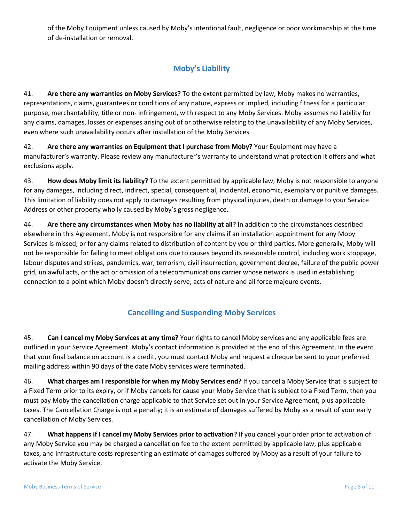of the Moby Equipment unless caused by Moby's intentional fault, negligence or poor workmanship at the time of de-installation or removal.

## **Moby's Liability**

41. **Are there any warranties on Moby Services?** To the extent permitted by law, Moby makes no warranties, representations, claims, guarantees or conditions of any nature, express or implied, including fitness for a particular purpose, merchantability, title or non- infringement, with respect to any Moby Services. Moby assumes no liability for any claims, damages, losses or expenses arising out of or otherwise relating to the unavailability of any Moby Services, even where such unavailability occurs after installation of the Moby Services.

42. **Are there any warranties on Equipment that I purchase from Moby?** Your Equipment may have a manufacturer's warranty. Please review any manufacturer's warranty to understand what protection it offers and what exclusions apply.

43. **How does Moby limit its liability?** To the extent permitted by applicable law, Moby is not responsible to anyone for any damages, including direct, indirect, special, consequential, incidental, economic, exemplary or punitive damages. This limitation of liability does not apply to damages resulting from physical injuries, death or damage to your Service Address or other property wholly caused by Moby's gross negligence.

44. **Are there any circumstances when Moby has no liability at all?** In addition to the circumstances described elsewhere in this Agreement, Moby is not responsible for any claims if an installation appointment for any Moby Services is missed, or for any claims related to distribution of content by you or third parties. More generally, Moby will not be responsible for failing to meet obligations due to causes beyond its reasonable control, including work stoppage, labour disputes and strikes, pandemics, war, terrorism, civil insurrection, government decree, failure of the public power grid, unlawful acts, or the act or omission of a telecommunications carrier whose network is used in establishing connection to a point which Moby doesn't directly serve, acts of nature and all force majeure events.

## **Cancelling and Suspending Moby Services**

45. **Can I cancel my Moby Services at any time?** Your rights to cancel Moby services and any applicable fees are outlined in your Service Agreement. Moby's contact information is provided at the end of this Agreement. In the event that your final balance on account is a credit, you must contact Moby and request a cheque be sent to your preferred mailing address within 90 days of the date Moby services were terminated.

46. **What charges am I responsible for when my Moby Services end?** If you cancel a Moby Service that is subject to a Fixed Term prior to its expiry, or if Moby cancels for cause your Moby Service that is subject to a Fixed Term, then you must pay Moby the cancellation charge applicable to that Service set out in your Service Agreement, plus applicable taxes. The Cancellation Charge is not a penalty; it is an estimate of damages suffered by Moby as a result of your early cancellation of Moby Services.

47. **What happens if I cancel my Moby Services prior to activation?** If you cancel your order prior to activation of any Moby Service you may be charged a cancellation fee to the extent permitted by applicable law, plus applicable taxes, and infrastructure costs representing an estimate of damages suffered by Moby as a result of your failure to activate the Moby Service.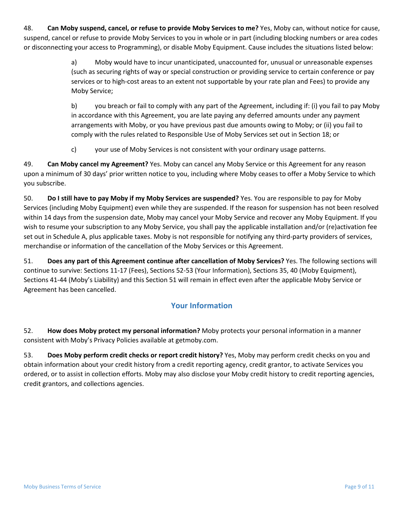48. **Can Moby suspend, cancel, or refuse to provide Moby Services to me?** Yes, Moby can, without notice for cause, suspend, cancel or refuse to provide Moby Services to you in whole or in part (including blocking numbers or area codes or disconnecting your access to Programming), or disable Moby Equipment. Cause includes the situations listed below:

> a) Moby would have to incur unanticipated, unaccounted for, unusual or unreasonable expenses (such as securing rights of way or special construction or providing service to certain conference or pay services or to high-cost areas to an extent not supportable by your rate plan and Fees) to provide any Moby Service;

b) you breach or fail to comply with any part of the Agreement, including if: (i) you fail to pay Moby in accordance with this Agreement, you are late paying any deferred amounts under any payment arrangements with Moby, or you have previous past due amounts owing to Moby; or (ii) you fail to comply with the rules related to Responsible Use of Moby Services set out in Section 18; or

c) your use of Moby Services is not consistent with your ordinary usage patterns.

49. **Can Moby cancel my Agreement?** Yes. Moby can cancel any Moby Service or this Agreement for any reason upon a minimum of 30 days' prior written notice to you, including where Moby ceases to offer a Moby Service to which you subscribe.

50. **Do I still have to pay Moby if my Moby Services are suspended?** Yes. You are responsible to pay for Moby Services (including Moby Equipment) even while they are suspended. If the reason for suspension has not been resolved within 14 days from the suspension date, Moby may cancel your Moby Service and recover any Moby Equipment. If you wish to resume your subscription to any Moby Service, you shall pay the applicable installation and/or (re)activation fee set out in Schedule A, plus applicable taxes. Moby is not responsible for notifying any third-party providers of services, merchandise or information of the cancellation of the Moby Services or this Agreement.

51. **Does any part of this Agreement continue after cancellation of Moby Services?** Yes. The following sections will continue to survive: Sections 11-17 (Fees), Sections 52-53 (Your Information), Sections 35, 40 (Moby Equipment), Sections 41-44 (Moby's Liability) and this Section 51 will remain in effect even after the applicable Moby Service or Agreement has been cancelled.

#### **Your Information**

52. **How does Moby protect my personal information?** Moby protects your personal information in a manner consistent with Moby's Privacy Policies available at getmoby.com.

53. **Does Moby perform credit checks or report credit history?** Yes, Moby may perform credit checks on you and obtain information about your credit history from a credit reporting agency, credit grantor, to activate Services you ordered, or to assist in collection efforts. Moby may also disclose your Moby credit history to credit reporting agencies, credit grantors, and collections agencies.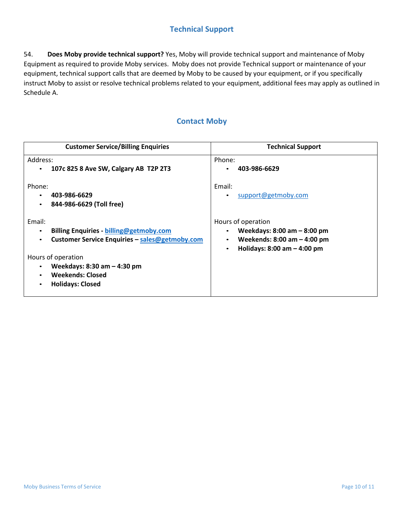### **Technical Support**

54. **Does Moby provide technical support?** Yes, Moby will provide technical support and maintenance of Moby Equipment as required to provide Moby services. Moby does not provide Technical support or maintenance of your equipment, technical support calls that are deemed by Moby to be caused by your equipment, or if you specifically instruct Moby to assist or resolve technical problems related to your equipment, additional fees may apply as outlined in Schedule A.

### **Contact Moby**

| <b>Customer Service/Billing Enquiries</b>                                                                                                                                                                                                                                              | <b>Technical Support</b>                                                                                                                |
|----------------------------------------------------------------------------------------------------------------------------------------------------------------------------------------------------------------------------------------------------------------------------------------|-----------------------------------------------------------------------------------------------------------------------------------------|
| Address:                                                                                                                                                                                                                                                                               | Phone:                                                                                                                                  |
| 107c 825 8 Ave SW, Calgary AB T2P 2T3<br>$\bullet$                                                                                                                                                                                                                                     | 403-986-6629                                                                                                                            |
| Phone:<br>403-986-6629<br>844-986-6629 (Toll free)<br>$\bullet$                                                                                                                                                                                                                        | Email:<br>support@getmoby.com                                                                                                           |
| Email:<br><b>Billing Enquiries - billing@getmoby.com</b><br>$\bullet$<br>Customer Service Enquiries - sales@getmoby.com<br>$\bullet$<br>Hours of operation<br>Weekdays: 8:30 am - 4:30 pm<br>$\bullet$<br><b>Weekends: Closed</b><br>$\bullet$<br><b>Holidays: Closed</b><br>$\bullet$ | Hours of operation<br>Weekdays: $8:00$ am $-8:00$ pm<br>Weekends: $8:00$ am $-$ 4:00 pm<br>Holidays: $8:00$ am $-$ 4:00 pm<br>$\bullet$ |